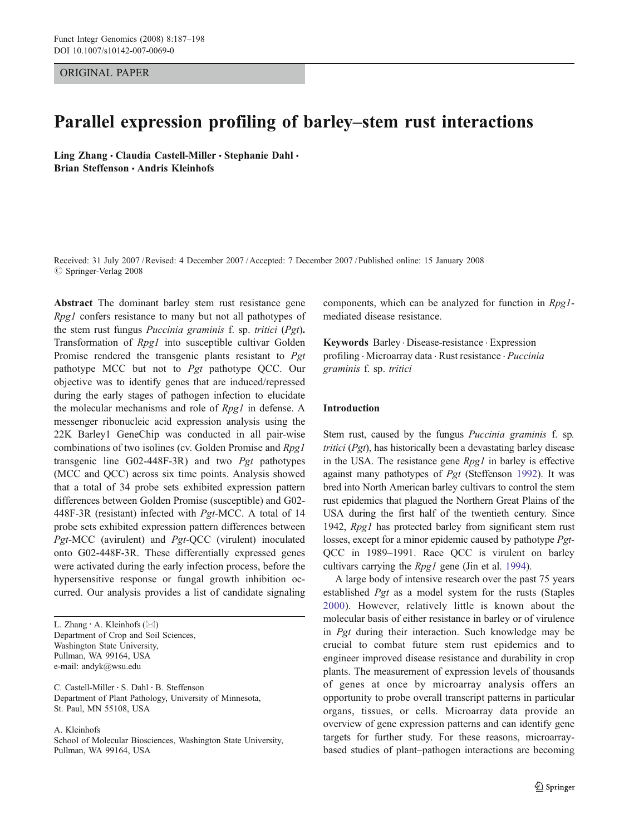ORIGINAL PAPER

# Parallel expression profiling of barley*–*stem rust interactions

Ling Zhang · Claudia Castell-Miller · Stephanie Dahl · Brian Steffenson · Andris Kleinhofs

Received: 31 July 2007 /Revised: 4 December 2007 /Accepted: 7 December 2007 / Published online: 15 January 2008  $\oslash$  Springer-Verlag 2008

Abstract The dominant barley stem rust resistance gene Rpg1 confers resistance to many but not all pathotypes of the stem rust fungus Puccinia graminis f. sp. tritici (Pgt). Transformation of Rpg1 into susceptible cultivar Golden Promise rendered the transgenic plants resistant to Pgt pathotype MCC but not to Pgt pathotype QCC. Our objective was to identify genes that are induced/repressed during the early stages of pathogen infection to elucidate the molecular mechanisms and role of Rpg1 in defense. A messenger ribonucleic acid expression analysis using the 22K Barley1 GeneChip was conducted in all pair-wise combinations of two isolines (cv. Golden Promise and Rpg1 transgenic line G02-448F-3R) and two Pgt pathotypes (MCC and QCC) across six time points. Analysis showed that a total of 34 probe sets exhibited expression pattern differences between Golden Promise (susceptible) and G02- 448F-3R (resistant) infected with Pgt-MCC. A total of 14 probe sets exhibited expression pattern differences between Pgt-MCC (avirulent) and Pgt-QCC (virulent) inoculated onto G02-448F-3R. These differentially expressed genes were activated during the early infection process, before the hypersensitive response or fungal growth inhibition occurred. Our analysis provides a list of candidate signaling

C. Castell-Miller : S. Dahl : B. Steffenson Department of Plant Pathology, University of Minnesota, St. Paul, MN 55108, USA

A. Kleinhofs

School of Molecular Biosciences, Washington State University, Pullman, WA 99164, USA

components, which can be analyzed for function in Rpg1 mediated disease resistance.

Keywords Barley . Disease-resistance . Expression profiling . Microarray data . Rust resistance . Puccinia graminis f. sp. tritici

# Introduction

Stem rust, caused by the fungus Puccinia graminis f. sp. tritici ( $Pgt$ ), has historically been a devastating barley disease in the USA. The resistance gene  $Rpg1$  in barley is effective against many pathotypes of Pgt (Steffenson [1992\)](#page-10-0). It was bred into North American barley cultivars to control the stem rust epidemics that plagued the Northern Great Plains of the USA during the first half of the twentieth century. Since 1942, Rpg1 has protected barley from significant stem rust losses, except for a minor epidemic caused by pathotype Pgt-QCC in 1989–1991. Race QCC is virulent on barley cultivars carrying the Rpg1 gene (Jin et al. [1994](#page-10-0)).

A large body of intensive research over the past 75 years established Pgt as a model system for the rusts (Staples [2000\)](#page-10-0). However, relatively little is known about the molecular basis of either resistance in barley or of virulence in Pgt during their interaction. Such knowledge may be crucial to combat future stem rust epidemics and to engineer improved disease resistance and durability in crop plants. The measurement of expression levels of thousands of genes at once by microarray analysis offers an opportunity to probe overall transcript patterns in particular organs, tissues, or cells. Microarray data provide an overview of gene expression patterns and can identify gene targets for further study. For these reasons, microarraybased studies of plant–pathogen interactions are becoming

L. Zhang : A. Kleinhofs (*\**) Department of Crop and Soil Sciences, Washington State University, Pullman, WA 99164, USA e-mail: andyk@wsu.edu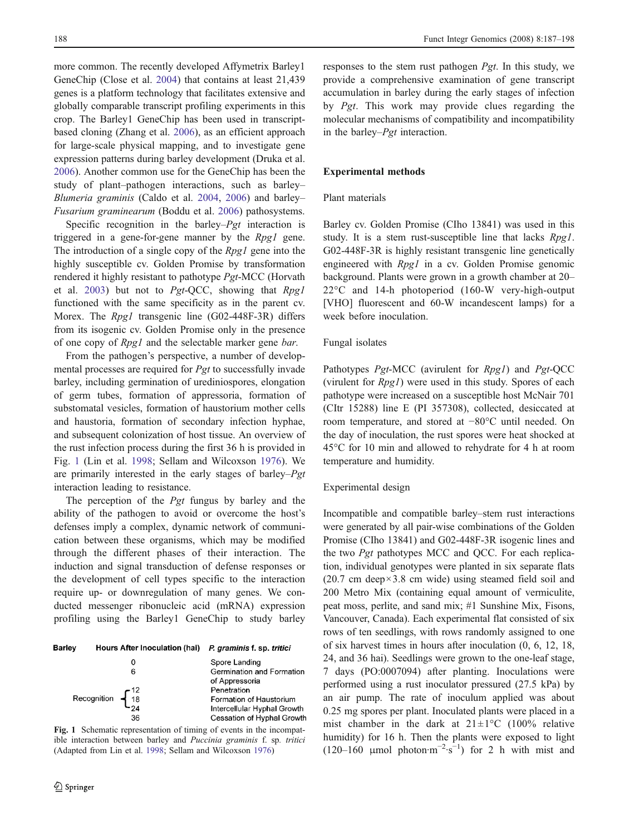more common. The recently developed Affymetrix Barley1 GeneChip (Close et al. [2004\)](#page-10-0) that contains at least 21,439 genes is a platform technology that facilitates extensive and globally comparable transcript profiling experiments in this crop. The Barley1 GeneChip has been used in transcriptbased cloning (Zhang et al. [2006](#page-11-0)), as an efficient approach for large-scale physical mapping, and to investigate gene expression patterns during barley development (Druka et al. [2006\)](#page-10-0). Another common use for the GeneChip has been the study of plant–pathogen interactions, such as barley– Blumeria graminis (Caldo et al. [2004](#page-10-0), [2006\)](#page-10-0) and barley– Fusarium graminearum (Boddu et al. [2006\)](#page-10-0) pathosystems.

Specific recognition in the barley– $Pgt$  interaction is triggered in a gene-for-gene manner by the Rpg1 gene. The introduction of a single copy of the  $Rpg1$  gene into the highly susceptible cv. Golden Promise by transformation rendered it highly resistant to pathotype Pgt-MCC (Horvath et al. [2003](#page-10-0)) but not to  $Pgt$ -QCC, showing that  $Rpg1$ functioned with the same specificity as in the parent cv. Morex. The *Rpg1* transgenic line (G02-448F-3R) differs from its isogenic cv. Golden Promise only in the presence of one copy of Rpg1 and the selectable marker gene bar.

From the pathogen's perspective, a number of developmental processes are required for Pgt to successfully invade barley, including germination of urediniospores, elongation of germ tubes, formation of appressoria, formation of substomatal vesicles, formation of haustorium mother cells and haustoria, formation of secondary infection hyphae, and subsequent colonization of host tissue. An overview of the rust infection process during the first 36 h is provided in Fig. 1 (Lin et al. [1998](#page-10-0); Sellam and Wilcoxson [1976\)](#page-10-0). We are primarily interested in the early stages of barley–Pgt interaction leading to resistance.

The perception of the *Pgt* fungus by barley and the ability of the pathogen to avoid or overcome the host's defenses imply a complex, dynamic network of communication between these organisms, which may be modified through the different phases of their interaction. The induction and signal transduction of defense responses or the development of cell types specific to the interaction require up- or downregulation of many genes. We conducted messenger ribonucleic acid (mRNA) expression profiling using the Barley1 GeneChip to study barley

| <b>Barley</b> | Hours After Inoculation (hai) P. graminis f. sp. tritici                                 |                             |
|---------------|------------------------------------------------------------------------------------------|-----------------------------|
|               |                                                                                          | Spore Landing               |
|               | 6                                                                                        | Germination and Formation   |
|               |                                                                                          | of Appressoria              |
|               |                                                                                          | Penetration                 |
|               | Recognition $\begin{array}{cc} \begin{array}{cc} 12 \\ 18 \\ 24 \end{array} \end{array}$ | Formation of Haustorium     |
|               |                                                                                          | Intercellular Hyphal Growth |
|               | 36                                                                                       | Cessation of Hyphal Growth  |

Fig. 1 Schematic representation of timing of events in the incompatible interaction between barley and Puccinia graminis f. sp. tritici (Adapted from Lin et al. [1998](#page-10-0); Sellam and Wilcoxson [1976](#page-10-0))

responses to the stem rust pathogen Pgt. In this study, we provide a comprehensive examination of gene transcript accumulation in barley during the early stages of infection by Pgt. This work may provide clues regarding the molecular mechanisms of compatibility and incompatibility in the barley–Pgt interaction.

## Experimental methods

# Plant materials

Barley cv. Golden Promise (CIho 13841) was used in this study. It is a stem rust-susceptible line that lacks Rpg1. G02-448F-3R is highly resistant transgenic line genetically engineered with Rpg1 in a cv. Golden Promise genomic background. Plants were grown in a growth chamber at 20– 22°C and 14-h photoperiod (160-W very-high-output [VHO] fluorescent and 60-W incandescent lamps) for a week before inoculation.

#### Fungal isolates

Pathotypes Pgt-MCC (avirulent for Rpg1) and Pgt-QCC (virulent for  $Rpg1$ ) were used in this study. Spores of each pathotype were increased on a susceptible host McNair 701 (CItr 15288) line E (PI 357308), collected, desiccated at room temperature, and stored at −80°C until needed. On the day of inoculation, the rust spores were heat shocked at 45°C for 10 min and allowed to rehydrate for 4 h at room temperature and humidity.

#### Experimental design

Incompatible and compatible barley–stem rust interactions were generated by all pair-wise combinations of the Golden Promise (CIho 13841) and G02-448F-3R isogenic lines and the two Pgt pathotypes MCC and QCC. For each replication, individual genotypes were planted in six separate flats  $(20.7 \text{ cm deep} \times 3.8 \text{ cm wide})$  using steamed field soil and 200 Metro Mix (containing equal amount of vermiculite, peat moss, perlite, and sand mix; #1 Sunshine Mix, Fisons, Vancouver, Canada). Each experimental flat consisted of six rows of ten seedlings, with rows randomly assigned to one of six harvest times in hours after inoculation (0, 6, 12, 18, 24, and 36 hai). Seedlings were grown to the one-leaf stage, 7 days (PO:0007094) after planting. Inoculations were performed using a rust inoculator pressured (27.5 kPa) by an air pump. The rate of inoculum applied was about 0.25 mg spores per plant. Inoculated plants were placed in a mist chamber in the dark at  $21 \pm 1$ °C (100% relative humidity) for 16 h. Then the plants were exposed to light (120–160 µmol photon·m<sup>-2</sup>·s<sup>-1</sup>) for 2 h with mist and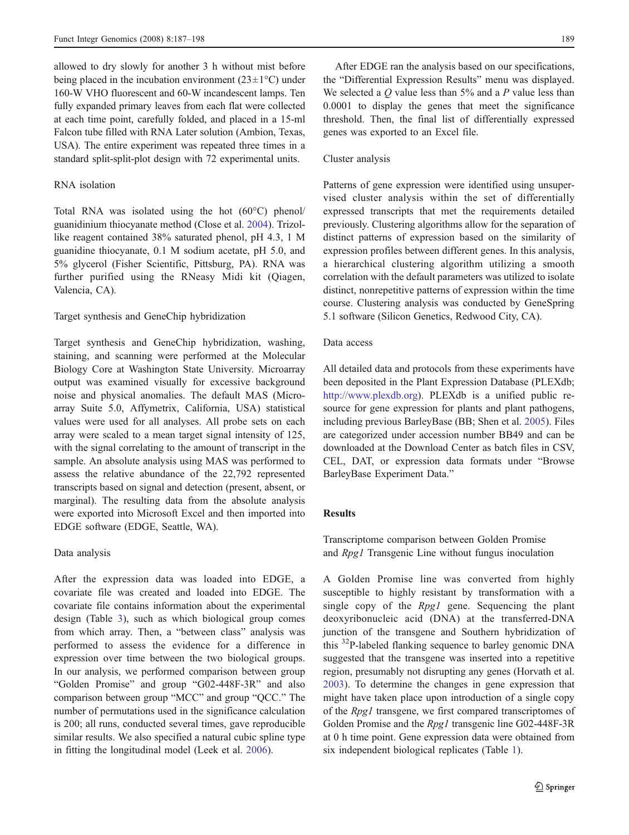allowed to dry slowly for another 3 h without mist before being placed in the incubation environment ( $23 \pm 1$ °C) under 160-W VHO fluorescent and 60-W incandescent lamps. Ten fully expanded primary leaves from each flat were collected at each time point, carefully folded, and placed in a 15-ml Falcon tube filled with RNA Later solution (Ambion, Texas, USA). The entire experiment was repeated three times in a standard split-split-plot design with 72 experimental units.

## RNA isolation

Total RNA was isolated using the hot (60°C) phenol/ guanidinium thiocyanate method (Close et al. [2004\)](#page-10-0). Trizollike reagent contained 38% saturated phenol, pH 4.3, 1 M guanidine thiocyanate, 0.1 M sodium acetate, pH 5.0, and 5% glycerol (Fisher Scientific, Pittsburg, PA). RNA was further purified using the RNeasy Midi kit (Qiagen, Valencia, CA).

#### Target synthesis and GeneChip hybridization

Target synthesis and GeneChip hybridization, washing, staining, and scanning were performed at the Molecular Biology Core at Washington State University. Microarray output was examined visually for excessive background noise and physical anomalies. The default MAS (Microarray Suite 5.0, Affymetrix, California, USA) statistical values were used for all analyses. All probe sets on each array were scaled to a mean target signal intensity of 125, with the signal correlating to the amount of transcript in the sample. An absolute analysis using MAS was performed to assess the relative abundance of the 22,792 represented transcripts based on signal and detection (present, absent, or marginal). The resulting data from the absolute analysis were exported into Microsoft Excel and then imported into EDGE software (EDGE, Seattle, WA).

#### Data analysis

After the expression data was loaded into EDGE, a covariate file was created and loaded into EDGE. The covariate file contains information about the experimental design (Table [3](#page-5-0)), such as which biological group comes from which array. Then, a "between class" analysis was performed to assess the evidence for a difference in expression over time between the two biological groups. In our analysis, we performed comparison between group "Golden Promise" and group "G02-448F-3R" and also comparison between group "MCC" and group "QCC." The number of permutations used in the significance calculation is 200; all runs, conducted several times, gave reproducible similar results. We also specified a natural cubic spline type in fitting the longitudinal model (Leek et al. [2006](#page-10-0)).

After EDGE ran the analysis based on our specifications, the "Differential Expression Results" menu was displayed. We selected a  $Q$  value less than 5% and a  $P$  value less than 0.0001 to display the genes that meet the significance threshold. Then, the final list of differentially expressed genes was exported to an Excel file.

#### Cluster analysis

Patterns of gene expression were identified using unsupervised cluster analysis within the set of differentially expressed transcripts that met the requirements detailed previously. Clustering algorithms allow for the separation of distinct patterns of expression based on the similarity of expression profiles between different genes. In this analysis, a hierarchical clustering algorithm utilizing a smooth correlation with the default parameters was utilized to isolate distinct, nonrepetitive patterns of expression within the time course. Clustering analysis was conducted by GeneSpring 5.1 software (Silicon Genetics, Redwood City, CA).

#### Data access

All detailed data and protocols from these experiments have been deposited in the Plant Expression Database (PLEXdb; [http://www.plexdb.org\)](http://www.plexdb.org). PLEXdb is a unified public resource for gene expression for plants and plant pathogens, including previous BarleyBase (BB; Shen et al. [2005\)](#page-10-0). Files are categorized under accession number BB49 and can be downloaded at the Download Center as batch files in CSV, CEL, DAT, or expression data formats under "Browse BarleyBase Experiment Data."

# Results

Transcriptome comparison between Golden Promise and Rpg1 Transgenic Line without fungus inoculation

A Golden Promise line was converted from highly susceptible to highly resistant by transformation with a single copy of the *Rpg1* gene. Sequencing the plant deoxyribonucleic acid (DNA) at the transferred-DNA junction of the transgene and Southern hybridization of this <sup>32</sup>P-labeled flanking sequence to barley genomic DNA suggested that the transgene was inserted into a repetitive region, presumably not disrupting any genes (Horvath et al. [2003](#page-10-0)). To determine the changes in gene expression that might have taken place upon introduction of a single copy of the Rpg1 transgene, we first compared transcriptomes of Golden Promise and the Rpg1 transgenic line G02-448F-3R at 0 h time point. Gene expression data were obtained from six independent biological replicates (Table [1\)](#page-3-0).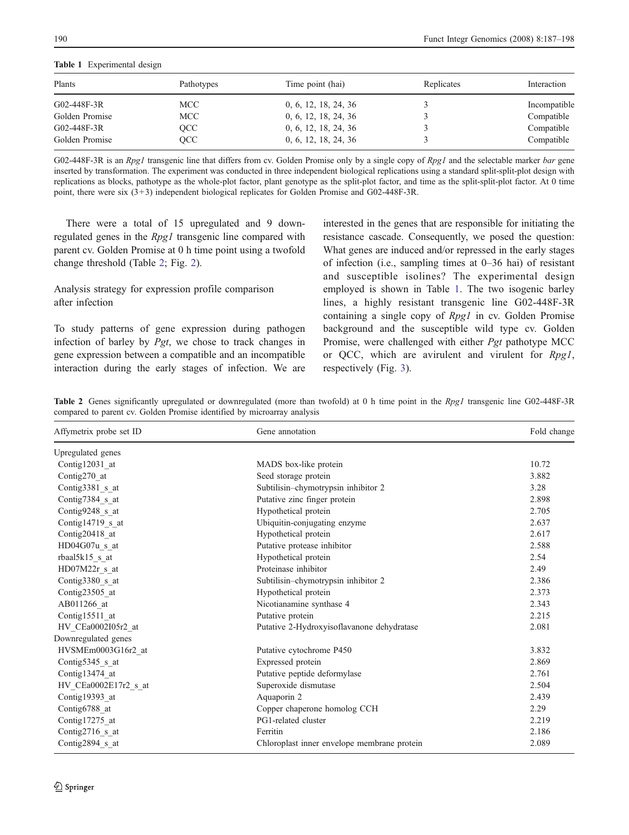<span id="page-3-0"></span>Table 1 Experimental design

| Plants            | Pathotypes | Time point (hai)     | Replicates | Interaction  |
|-------------------|------------|----------------------|------------|--------------|
| $G02 - 448F - 3R$ | MCC .      | 0, 6, 12, 18, 24, 36 |            | Incompatible |
| Golden Promise    | MCC        | 0, 6, 12, 18, 24, 36 |            | Compatible   |
| $G02 - 448F - 3R$ | OCC        | 0, 6, 12, 18, 24, 36 |            | Compatible   |
| Golden Promise    | OCC        | 0, 6, 12, 18, 24, 36 |            | Compatible   |

G02-448F-3R is an Rpg1 transgenic line that differs from cv. Golden Promise only by a single copy of Rpg1 and the selectable marker bar gene inserted by transformation. The experiment was conducted in three independent biological replications using a standard split-split-plot design with replications as blocks, pathotype as the whole-plot factor, plant genotype as the split-plot factor, and time as the split-split-plot factor. At 0 time point, there were six (3+3) independent biological replicates for Golden Promise and G02-448F-3R.

There were a total of 15 upregulated and 9 downregulated genes in the Rpg1 transgenic line compared with parent cv. Golden Promise at 0 h time point using a twofold change threshold (Table 2; Fig. [2\)](#page-4-0).

# Analysis strategy for expression profile comparison after infection

To study patterns of gene expression during pathogen infection of barley by Pgt, we chose to track changes in gene expression between a compatible and an incompatible interaction during the early stages of infection. We are interested in the genes that are responsible for initiating the resistance cascade. Consequently, we posed the question: What genes are induced and/or repressed in the early stages of infection (i.e., sampling times at 0–36 hai) of resistant and susceptible isolines? The experimental design employed is shown in Table 1. The two isogenic barley lines, a highly resistant transgenic line G02-448F-3R containing a single copy of Rpg1 in cv. Golden Promise background and the susceptible wild type cv. Golden Promise, were challenged with either Pgt pathotype MCC or QCC, which are avirulent and virulent for Rpg1, respectively (Fig. [3](#page-5-0)).

Table 2 Genes significantly upregulated or downregulated (more than twofold) at 0 h time point in the Rpg1 transgenic line G02-448F-3R compared to parent cv. Golden Promise identified by microarray analysis

| Affymetrix probe set ID | Gene annotation                             | Fold change |
|-------------------------|---------------------------------------------|-------------|
| Upregulated genes       |                                             |             |
| Contig12031 at          | MADS box-like protein                       | 10.72       |
| Contig270 at            | Seed storage protein                        | 3.882       |
| Contig3381 s at         | Subtilisin-chymotrypsin inhibitor 2         | 3.28        |
| Contig7384 s at         | Putative zinc finger protein                | 2.898       |
| Contig9248 s at         | Hypothetical protein                        | 2.705       |
| Contig14719 s at        | Ubiquitin-conjugating enzyme                | 2.637       |
| Contig20418 at          | Hypothetical protein                        | 2.617       |
| HD04G07u s at           | Putative protease inhibitor                 | 2.588       |
| rbaal5k15 s at          | Hypothetical protein                        | 2.54        |
| HD07M22r s at           | Proteinase inhibitor                        | 2.49        |
| Contig $3380$ s at      | Subtilisin-chymotrypsin inhibitor 2         | 2.386       |
| Contig23505 at          | Hypothetical protein                        | 2.373       |
| AB011266 at             | Nicotianamine synthase 4                    | 2.343       |
| Contig15511 at          | Putative protein                            | 2.215       |
| HV_CEa0002I05r2_at      | Putative 2-Hydroxyisoflavanone dehydratase  | 2.081       |
| Downregulated genes     |                                             |             |
| HVSMEm0003G16r2 at      | Putative cytochrome P450                    | 3.832       |
| Contig5345 s at         | Expressed protein                           | 2.869       |
| Contig13474 at          | Putative peptide deformylase                | 2.761       |
| HV CEa0002E17r2 s at    | Superoxide dismutase                        | 2.504       |
| Contig19393 at          | Aquaporin 2                                 | 2.439       |
| Contig6788 at           | Copper chaperone homolog CCH                | 2.29        |
| Contig17275 at          | PG1-related cluster                         | 2.219       |
| Contig2716_s_at         | Ferritin                                    | 2.186       |
| Contig2894_s_at         | Chloroplast inner envelope membrane protein | 2.089       |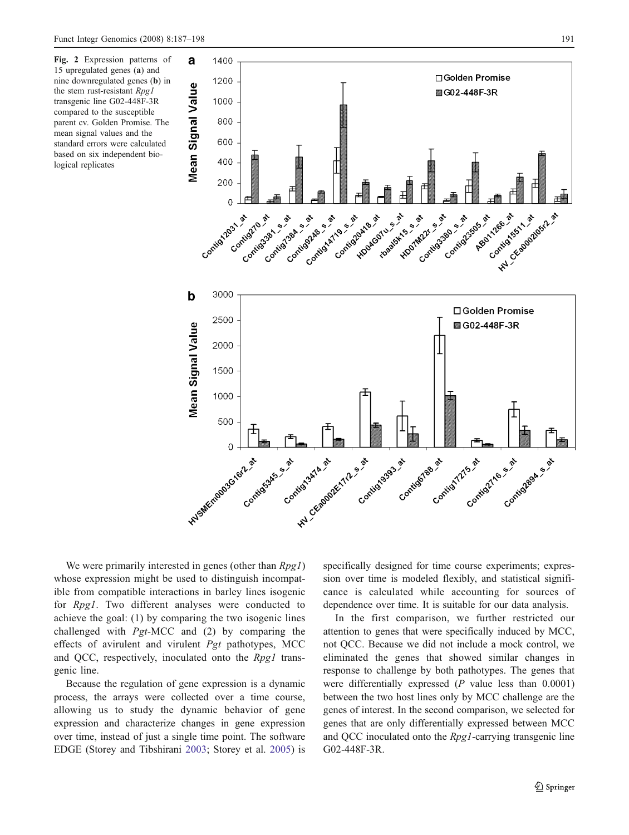a

1400

<span id="page-4-0"></span>Fig. 2 Expression patterns of 15 upregulated genes (a) and nine downregulated genes (b) in the stem rust-resistant Rpg1 transgenic line G02-448F-3R compared to the susceptible parent cv. Golden Promise. The mean signal values and the standard errors were calculated based on six independent biological replicates



We were primarily interested in genes (other than  $Rpg1$ ) whose expression might be used to distinguish incompatible from compatible interactions in barley lines isogenic for Rpg1. Two different analyses were conducted to achieve the goal: (1) by comparing the two isogenic lines challenged with Pgt-MCC and (2) by comparing the effects of avirulent and virulent Pgt pathotypes, MCC and QCC, respectively, inoculated onto the Rpg1 transgenic line.

Because the regulation of gene expression is a dynamic process, the arrays were collected over a time course, allowing us to study the dynamic behavior of gene expression and characterize changes in gene expression over time, instead of just a single time point. The software EDGE (Storey and Tibshirani [2003;](#page-11-0) Storey et al. [2005\)](#page-11-0) is specifically designed for time course experiments; expression over time is modeled flexibly, and statistical significance is calculated while accounting for sources of dependence over time. It is suitable for our data analysis.

In the first comparison, we further restricted our attention to genes that were specifically induced by MCC, not QCC. Because we did not include a mock control, we eliminated the genes that showed similar changes in response to challenge by both pathotypes. The genes that were differentially expressed (P value less than 0.0001) between the two host lines only by MCC challenge are the genes of interest. In the second comparison, we selected for genes that are only differentially expressed between MCC and QCC inoculated onto the Rpg1-carrying transgenic line G02-448F-3R.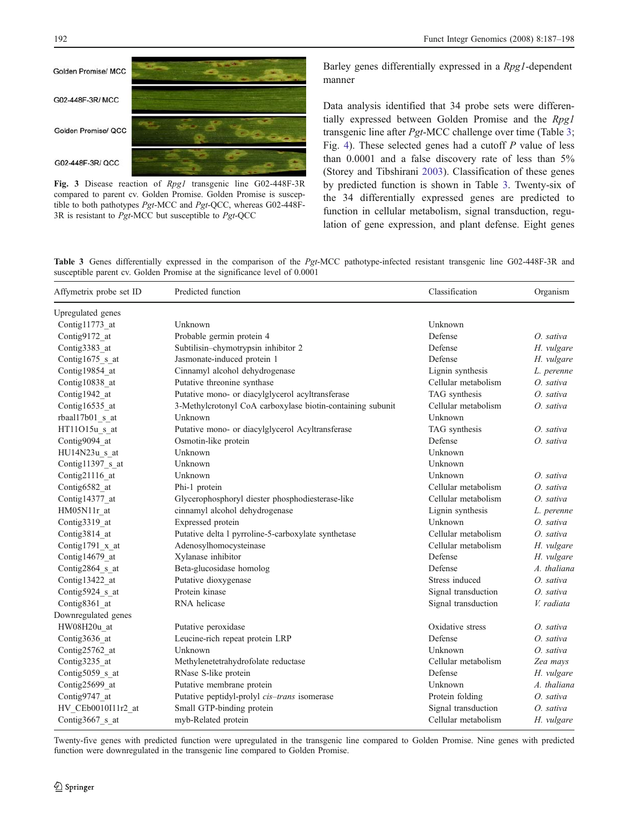<span id="page-5-0"></span>

Fig. 3 Disease reaction of Rpg1 transgenic line G02-448F-3R compared to parent cv. Golden Promise. Golden Promise is susceptible to both pathotypes Pgt-MCC and Pgt-QCC, whereas G02-448F-3R is resistant to Pgt-MCC but susceptible to Pgt-QCC

Barley genes differentially expressed in a Rpg1-dependent manner

Data analysis identified that 34 probe sets were differentially expressed between Golden Promise and the Rpg1 transgenic line after Pgt-MCC challenge over time (Table 3; Fig. [4\)](#page-6-0). These selected genes had a cutoff  $P$  value of less than 0.0001 and a false discovery rate of less than 5% (Storey and Tibshirani [2003\)](#page-11-0). Classification of these genes by predicted function is shown in Table 3. Twenty-six of the 34 differentially expressed genes are predicted to function in cellular metabolism, signal transduction, regulation of gene expression, and plant defense. Eight genes

Table 3 Genes differentially expressed in the comparison of the Pgt-MCC pathotype-infected resistant transgenic line G02-448F-3R and susceptible parent cv. Golden Promise at the significance level of 0.0001

| Affymetrix probe set ID | Predicted function                                         | Classification      | Organism    |
|-------------------------|------------------------------------------------------------|---------------------|-------------|
| Upregulated genes       |                                                            |                     |             |
| Contig11773 at          | Unknown                                                    | Unknown             |             |
| Contig9172 at           | Probable germin protein 4                                  | Defense             | O. sativa   |
| Contig3383 at           | Subtilisin-chymotrypsin inhibitor 2                        | Defense             | H. vulgare  |
| Contig1675 s at         | Jasmonate-induced protein 1                                | Defense             | H. vulgare  |
| Contig19854 at          | Cinnamyl alcohol dehydrogenase                             | Lignin synthesis    | L. perenne  |
| Contig10838 at          | Putative threonine synthase                                | Cellular metabolism | O. sativa   |
| Contig1942 at           | Putative mono- or diacylglycerol acyltransferase           | TAG synthesis       | O. sativa   |
| Contig16535 at          | 3-Methylcrotonyl CoA carboxylase biotin-containing subunit | Cellular metabolism | O. sativa   |
| rbaal17b01 s at         | Unknown                                                    | Unknown             |             |
| HT11O15u s at           | Putative mono- or diacylglycerol Acyltransferase           | TAG synthesis       | $O.$ sativa |
| Contig9094 at           | Osmotin-like protein                                       | Defense             | $O.$ sativa |
| HU14N23u s at           | Unknown                                                    | Unknown             |             |
| Contig11397 s at        | Unknown                                                    | Unknown             |             |
| Contig21116 at          | Unknown                                                    | Unknown             | O. sativa   |
| Contig6582 at           | Phi-1 protein                                              | Cellular metabolism | O. sativa   |
| Contig14377 at          | Glycerophosphoryl diester phosphodiesterase-like           | Cellular metabolism | O. sativa   |
| HM05N11r at             | cinnamyl alcohol dehydrogenase                             | Lignin synthesis    | L. perenne  |
| Contig3319 at           | Expressed protein                                          | Unknown             | O. sativa   |
| Contig3814 at           | Putative delta 1 pyrroline-5-carboxylate synthetase        | Cellular metabolism | O. sativa   |
| Contig1791 x at         | Adenosylhomocysteinase                                     | Cellular metabolism | H. vulgare  |
| Contig14679 at          | Xylanase inhibitor                                         | Defense             | H. vulgare  |
| Contig2864 s at         | Beta-glucosidase homolog                                   | Defense             | A. thaliana |
| Contig13422 at          | Putative dioxygenase                                       | Stress induced      | O. sativa   |
| Contig5924 s at         | Protein kinase                                             | Signal transduction | O. sativa   |
| Contig8361 at           | RNA helicase                                               | Signal transduction | V. radiata  |
| Downregulated genes     |                                                            |                     |             |
| HW08H20u at             | Putative peroxidase                                        | Oxidative stress    | O. sativa   |
| Contig3636 at           | Leucine-rich repeat protein LRP                            | Defense             | O. sativa   |
| Contig25762 at          | Unknown                                                    | Unknown             | O. sativa   |
| Contig3235 at           | Methylenetetrahydrofolate reductase                        | Cellular metabolism | Zea mays    |
| Contig $5059$ s at      | RNase S-like protein                                       | Defense             | H. vulgare  |
| Contig25699 at          | Putative membrane protein                                  | Unknown             | A. thaliana |
| Contig9747 at           | Putative peptidyl-prolyl cis-trans isomerase               | Protein folding     | O. sativa   |
| HV_CEb0010I11r2_at      | Small GTP-binding protein                                  | Signal transduction | O. sativa   |
| Contig3667 s at         | myb-Related protein                                        | Cellular metabolism | H. vulgare  |
|                         |                                                            |                     |             |

Twenty-five genes with predicted function were upregulated in the transgenic line compared to Golden Promise. Nine genes with predicted function were downregulated in the transgenic line compared to Golden Promise.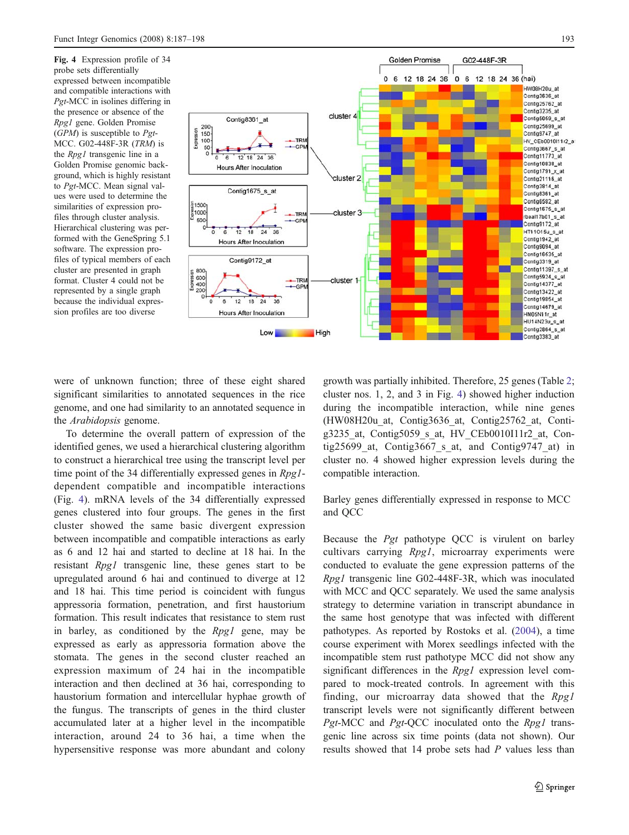<span id="page-6-0"></span>Fig. 4 Expression profile of 34 probe sets differentially expressed between incompatible and compatible interactions with Pgt-MCC in isolines differing in the presence or absence of the Rpg1 gene. Golden Promise  $(GPM)$  is susceptible to Pgt-MCC. G02-448F-3R (TRM) is the Rpg1 transgenic line in a Golden Promise genomic background, which is highly resistant to Pgt-MCC. Mean signal values were used to determine the similarities of expression profiles through cluster analysis. Hierarchical clustering was performed with the GeneSpring 5.1 software. The expression profiles of typical members of each cluster are presented in graph format. Cluster 4 could not be represented by a single graph because the individual expression profiles are too diverse



were of unknown function; three of these eight shared significant similarities to annotated sequences in the rice genome, and one had similarity to an annotated sequence in the Arabidopsis genome.

To determine the overall pattern of expression of the identified genes, we used a hierarchical clustering algorithm to construct a hierarchical tree using the transcript level per time point of the 34 differentially expressed genes in Rpg1dependent compatible and incompatible interactions (Fig. 4). mRNA levels of the 34 differentially expressed genes clustered into four groups. The genes in the first cluster showed the same basic divergent expression between incompatible and compatible interactions as early as 6 and 12 hai and started to decline at 18 hai. In the resistant Rpg1 transgenic line, these genes start to be upregulated around 6 hai and continued to diverge at 12 and 18 hai. This time period is coincident with fungus appressoria formation, penetration, and first haustorium formation. This result indicates that resistance to stem rust in barley, as conditioned by the Rpg1 gene, may be expressed as early as appressoria formation above the stomata. The genes in the second cluster reached an expression maximum of 24 hai in the incompatible interaction and then declined at 36 hai, corresponding to haustorium formation and intercellular hyphae growth of the fungus. The transcripts of genes in the third cluster accumulated later at a higher level in the incompatible interaction, around 24 to 36 hai, a time when the hypersensitive response was more abundant and colony

growth was partially inhibited. Therefore, 25 genes (Table [2;](#page-3-0) cluster nos. 1, 2, and 3 in Fig. 4) showed higher induction during the incompatible interaction, while nine genes (HW08H20u\_at, Contig3636\_at, Contig25762\_at, Contig3235\_at, Contig5059\_s\_at, HV\_CEb0010I11r2\_at, Contig25699 at, Contig3667 s at, and Contig9747 at) in cluster no. 4 showed higher expression levels during the compatible interaction.

Barley genes differentially expressed in response to MCC and QCC

Because the Pgt pathotype QCC is virulent on barley cultivars carrying Rpg1, microarray experiments were conducted to evaluate the gene expression patterns of the Rpg1 transgenic line G02-448F-3R, which was inoculated with MCC and QCC separately. We used the same analysis strategy to determine variation in transcript abundance in the same host genotype that was infected with different pathotypes. As reported by Rostoks et al. ([2004\)](#page-10-0), a time course experiment with Morex seedlings infected with the incompatible stem rust pathotype MCC did not show any significant differences in the *Rpg1* expression level compared to mock-treated controls. In agreement with this finding, our microarray data showed that the Rpg1 transcript levels were not significantly different between Pgt-MCC and Pgt-QCC inoculated onto the Rpg1 transgenic line across six time points (data not shown). Our results showed that 14 probe sets had P values less than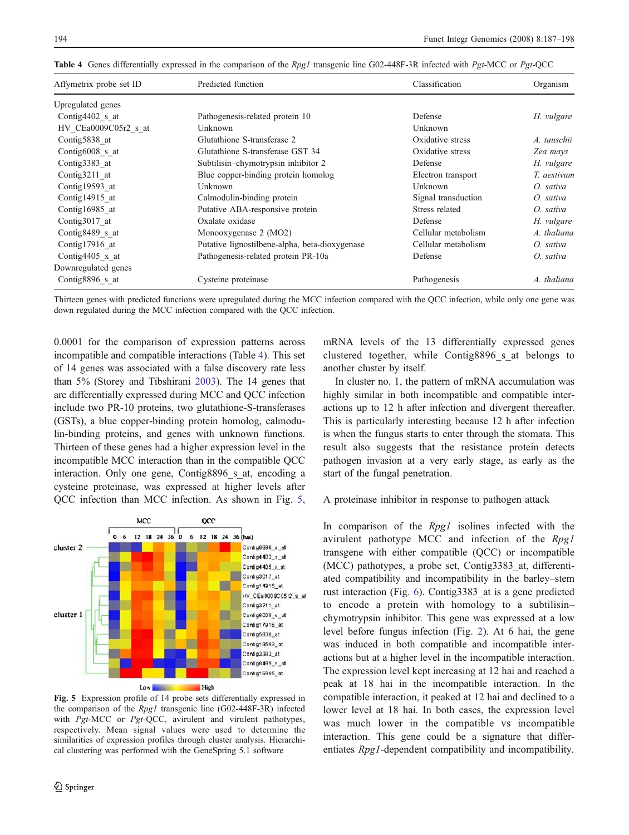| Affymetrix probe set ID | Predicted function                             | Classification      | Organism    |
|-------------------------|------------------------------------------------|---------------------|-------------|
| Upregulated genes       |                                                |                     |             |
| Contig4402 s at         | Pathogenesis-related protein 10                | Defense             | H. vulgare  |
| HV CEa0009C05r2 s at    | Unknown                                        | Unknown             |             |
| Contig5838 at           | Glutathione S-transferase 2                    | Oxidative stress    | A. tauschii |
| Contig6008 s at         | Glutathione S-transferase GST 34               | Oxidative stress    | Zea mays    |
| Contig3383 at           | Subtilisin-chymotrypsin inhibitor 2            | Defense             | H. vulgare  |
| Contig3211 at           | Blue copper-binding protein homolog            | Electron transport  | T. aestivum |
| Contig19593 at          | Unknown                                        | Unknown             | O. sativa   |
| Contig14915 at          | Calmodulin-binding protein                     | Signal transduction | O. sativa   |
| Contig16985 at          | Putative ABA-responsive protein                | Stress related      | O. sativa   |
| Contig $3017$ at        | Oxalate oxidase                                | Defense             | H. vulgare  |
| Contig8489 s at         | Monooxygenase 2 (MO2)                          | Cellular metabolism | A. thaliana |
| Contig17916 at          | Putative lignostilbene-alpha, beta-dioxygenase | Cellular metabolism | O. sativa   |
| Contig4405 $x$ at       | Pathogenesis-related protein PR-10a            | Defense             | O. sativa   |
| Downregulated genes     |                                                |                     |             |
| Contig8896 s at         | Cysteine proteinase                            | Pathogenesis        | A. thaliana |

Table 4 Genes differentially expressed in the comparison of the Rpg1 transgenic line G02-448F-3R infected with Pgt-MCC or Pgt-QCC

Thirteen genes with predicted functions were upregulated during the MCC infection compared with the QCC infection, while only one gene was down regulated during the MCC infection compared with the QCC infection.

0.0001 for the comparison of expression patterns across incompatible and compatible interactions (Table 4). This set of 14 genes was associated with a false discovery rate less than 5% (Storey and Tibshirani [2003\)](#page-11-0). The 14 genes that are differentially expressed during MCC and QCC infection include two PR-10 proteins, two glutathione-S-transferases (GSTs), a blue copper-binding protein homolog, calmodulin-binding proteins, and genes with unknown functions. Thirteen of these genes had a higher expression level in the incompatible MCC interaction than in the compatible QCC interaction. Only one gene, Contig8896 s at, encoding a cysteine proteinase, was expressed at higher levels after QCC infection than MCC infection. As shown in Fig. 5,



Fig. 5 Expression profile of 14 probe sets differentially expressed in the comparison of the Rpg1 transgenic line (G02-448F-3R) infected with Pgt-MCC or Pgt-QCC, avirulent and virulent pathotypes, respectively. Mean signal values were used to determine the similarities of expression profiles through cluster analysis. Hierarchical clustering was performed with the GeneSpring 5.1 software

mRNA levels of the 13 differentially expressed genes clustered together, while Contig8896\_s\_at belongs to another cluster by itself.

In cluster no. 1, the pattern of mRNA accumulation was highly similar in both incompatible and compatible interactions up to 12 h after infection and divergent thereafter. This is particularly interesting because 12 h after infection is when the fungus starts to enter through the stomata. This result also suggests that the resistance protein detects pathogen invasion at a very early stage, as early as the start of the fungal penetration.

A proteinase inhibitor in response to pathogen attack

In comparison of the *Rpg1* isolines infected with the avirulent pathotype MCC and infection of the Rpg1 transgene with either compatible (QCC) or incompatible (MCC) pathotypes, a probe set, Contig3383\_at, differentiated compatibility and incompatibility in the barley–stem rust interaction (Fig. [6\)](#page-8-0). Contig3383\_at is a gene predicted to encode a protein with homology to a subtilisin– chymotrypsin inhibitor. This gene was expressed at a low level before fungus infection (Fig. [2](#page-4-0)). At 6 hai, the gene was induced in both compatible and incompatible interactions but at a higher level in the incompatible interaction. The expression level kept increasing at 12 hai and reached a peak at 18 hai in the incompatible interaction. In the compatible interaction, it peaked at 12 hai and declined to a lower level at 18 hai. In both cases, the expression level was much lower in the compatible vs incompatible interaction. This gene could be a signature that differentiates Rpg1-dependent compatibility and incompatibility.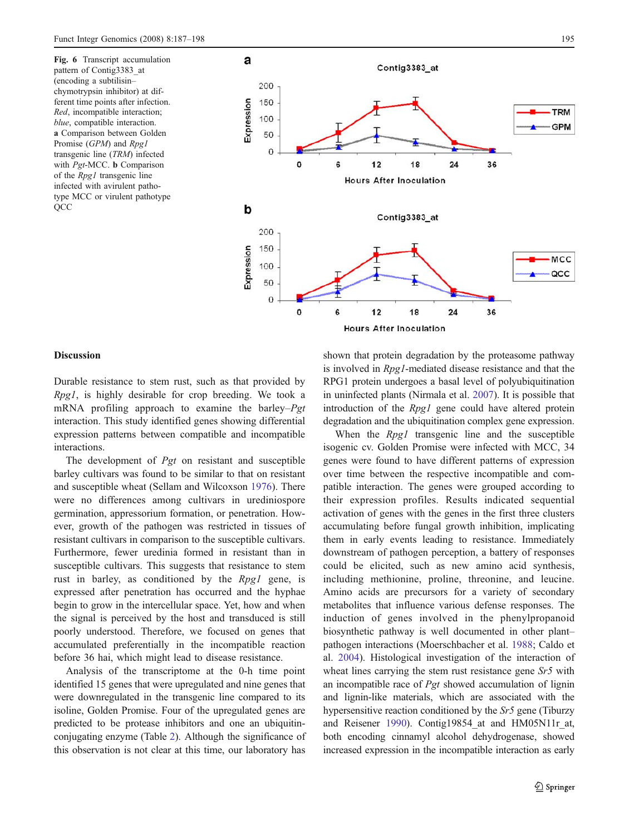<span id="page-8-0"></span>Fig. 6 Transcript accumulation pattern of Contig3383\_at (encoding a subtilisin– chymotrypsin inhibitor) at different time points after infection. Red, incompatible interaction; blue, compatible interaction. a Comparison between Golden Promise (GPM) and Rpg1 transgenic line (TRM) infected with *Pgt*-MCC. **b** Comparison of the Rpg1 transgenic line infected with avirulent pathotype MCC or virulent pathotype **QCC** 



## **Discussion**

Durable resistance to stem rust, such as that provided by Rpg1, is highly desirable for crop breeding. We took a mRNA profiling approach to examine the barley–Pgt interaction. This study identified genes showing differential expression patterns between compatible and incompatible interactions.

The development of Pgt on resistant and susceptible barley cultivars was found to be similar to that on resistant and susceptible wheat (Sellam and Wilcoxson [1976\)](#page-10-0). There were no differences among cultivars in urediniospore germination, appressorium formation, or penetration. However, growth of the pathogen was restricted in tissues of resistant cultivars in comparison to the susceptible cultivars. Furthermore, fewer uredinia formed in resistant than in susceptible cultivars. This suggests that resistance to stem rust in barley, as conditioned by the Rpg1 gene, is expressed after penetration has occurred and the hyphae begin to grow in the intercellular space. Yet, how and when the signal is perceived by the host and transduced is still poorly understood. Therefore, we focused on genes that accumulated preferentially in the incompatible reaction before 36 hai, which might lead to disease resistance.

Analysis of the transcriptome at the 0-h time point identified 15 genes that were upregulated and nine genes that were downregulated in the transgenic line compared to its isoline, Golden Promise. Four of the upregulated genes are predicted to be protease inhibitors and one an ubiquitinconjugating enzyme (Table [2\)](#page-3-0). Although the significance of this observation is not clear at this time, our laboratory has

shown that protein degradation by the proteasome pathway is involved in Rpg1-mediated disease resistance and that the RPG1 protein undergoes a basal level of polyubiquitination in uninfected plants (Nirmala et al. [2007\)](#page-10-0). It is possible that introduction of the *Rpg1* gene could have altered protein degradation and the ubiquitination complex gene expression.

When the *Rpg1* transgenic line and the susceptible isogenic cv. Golden Promise were infected with MCC, 34 genes were found to have different patterns of expression over time between the respective incompatible and compatible interaction. The genes were grouped according to their expression profiles. Results indicated sequential activation of genes with the genes in the first three clusters accumulating before fungal growth inhibition, implicating them in early events leading to resistance. Immediately downstream of pathogen perception, a battery of responses could be elicited, such as new amino acid synthesis, including methionine, proline, threonine, and leucine. Amino acids are precursors for a variety of secondary metabolites that influence various defense responses. The induction of genes involved in the phenylpropanoid biosynthetic pathway is well documented in other plant– pathogen interactions (Moerschbacher et al. [1988;](#page-10-0) Caldo et al. [2004](#page-10-0)). Histological investigation of the interaction of wheat lines carrying the stem rust resistance gene Sr5 with an incompatible race of Pgt showed accumulation of lignin and lignin-like materials, which are associated with the hypersensitive reaction conditioned by the Sr5 gene (Tiburzy and Reisener [1990](#page-11-0)). Contig19854\_at and HM05N11r\_at, both encoding cinnamyl alcohol dehydrogenase, showed increased expression in the incompatible interaction as early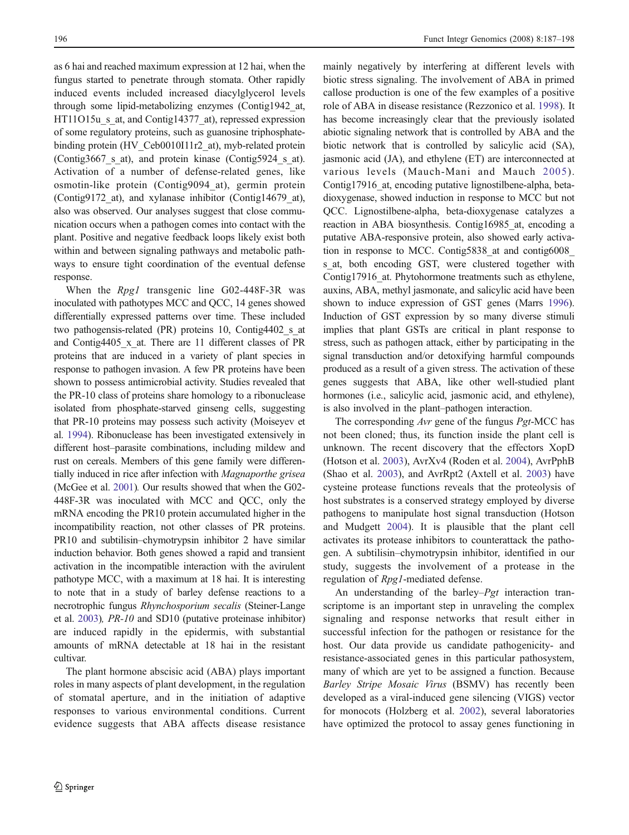as 6 hai and reached maximum expression at 12 hai, when the fungus started to penetrate through stomata. Other rapidly induced events included increased diacylglycerol levels through some lipid-metabolizing enzymes (Contig1942\_at, HT11O15u s at, and Contig14377 at), repressed expression of some regulatory proteins, such as guanosine triphosphatebinding protein (HV\_Ceb0010I11r2\_at), myb-related protein (Contig3667\_s\_at), and protein kinase (Contig5924\_s\_at). Activation of a number of defense-related genes, like osmotin-like protein (Contig9094\_at), germin protein (Contig9172\_at), and xylanase inhibitor (Contig14679\_at), also was observed. Our analyses suggest that close communication occurs when a pathogen comes into contact with the plant. Positive and negative feedback loops likely exist both within and between signaling pathways and metabolic pathways to ensure tight coordination of the eventual defense response.

When the *Rpg1* transgenic line G02-448F-3R was inoculated with pathotypes MCC and QCC, 14 genes showed differentially expressed patterns over time. These included two pathogensis-related (PR) proteins 10, Contig4402 s at and Contig4405\_x\_at. There are 11 different classes of PR proteins that are induced in a variety of plant species in response to pathogen invasion. A few PR proteins have been shown to possess antimicrobial activity. Studies revealed that the PR-10 class of proteins share homology to a ribonuclease isolated from phosphate-starved ginseng cells, suggesting that PR-10 proteins may possess such activity (Moiseyev et al. [1994](#page-10-0)). Ribonuclease has been investigated extensively in different host–parasite combinations, including mildew and rust on cereals. Members of this gene family were differentially induced in rice after infection with Magnaporthe grisea (McGee et al. [2001\)](#page-10-0). Our results showed that when the G02- 448F-3R was inoculated with MCC and QCC, only the mRNA encoding the PR10 protein accumulated higher in the incompatibility reaction, not other classes of PR proteins. PR10 and subtilisin–chymotrypsin inhibitor 2 have similar induction behavior. Both genes showed a rapid and transient activation in the incompatible interaction with the avirulent pathotype MCC, with a maximum at 18 hai. It is interesting to note that in a study of barley defense reactions to a necrotrophic fungus Rhynchosporium secalis (Steiner-Lange et al. [2003](#page-10-0)), PR-10 and SD10 (putative proteinase inhibitor) are induced rapidly in the epidermis, with substantial amounts of mRNA detectable at 18 hai in the resistant cultivar.

The plant hormone abscisic acid (ABA) plays important roles in many aspects of plant development, in the regulation of stomatal aperture, and in the initiation of adaptive responses to various environmental conditions. Current evidence suggests that ABA affects disease resistance mainly negatively by interfering at different levels with biotic stress signaling. The involvement of ABA in primed callose production is one of the few examples of a positive role of ABA in disease resistance (Rezzonico et al. [1998\)](#page-10-0). It has become increasingly clear that the previously isolated abiotic signaling network that is controlled by ABA and the biotic network that is controlled by salicylic acid (SA), jasmonic acid (JA), and ethylene (ET) are interconnected at various levels (Mauch-Mani and Mauch [2005\)](#page-10-0). Contig17916 at, encoding putative lignostilbene-alpha, betadioxygenase, showed induction in response to MCC but not QCC. Lignostilbene-alpha, beta-dioxygenase catalyzes a reaction in ABA biosynthesis. Contig16985\_at, encoding a putative ABA-responsive protein, also showed early activation in response to MCC. Contig5838\_at and contig6008\_ s at, both encoding GST, were clustered together with Contig17916 at. Phytohormone treatments such as ethylene, auxins, ABA, methyl jasmonate, and salicylic acid have been shown to induce expression of GST genes (Marrs [1996\)](#page-10-0). Induction of GST expression by so many diverse stimuli implies that plant GSTs are critical in plant response to stress, such as pathogen attack, either by participating in the signal transduction and/or detoxifying harmful compounds produced as a result of a given stress. The activation of these genes suggests that ABA, like other well-studied plant hormones (i.e., salicylic acid, jasmonic acid, and ethylene), is also involved in the plant–pathogen interaction.

The corresponding Avr gene of the fungus Pgt-MCC has not been cloned; thus, its function inside the plant cell is unknown. The recent discovery that the effectors XopD (Hotson et al. [2003\)](#page-10-0), AvrXv4 (Roden et al. [2004](#page-10-0)), AvrPphB (Shao et al. [2003](#page-10-0)), and AvrRpt2 (Axtell et al. [2003\)](#page-10-0) have cysteine protease functions reveals that the proteolysis of host substrates is a conserved strategy employed by diverse pathogens to manipulate host signal transduction (Hotson and Mudgett [2004](#page-10-0)). It is plausible that the plant cell activates its protease inhibitors to counterattack the pathogen. A subtilisin–chymotrypsin inhibitor, identified in our study, suggests the involvement of a protease in the regulation of Rpg1-mediated defense.

An understanding of the barley–*Pgt* interaction transcriptome is an important step in unraveling the complex signaling and response networks that result either in successful infection for the pathogen or resistance for the host. Our data provide us candidate pathogenicity- and resistance-associated genes in this particular pathosystem, many of which are yet to be assigned a function. Because Barley Stripe Mosaic Virus (BSMV) has recently been developed as a viral-induced gene silencing (VIGS) vector for monocots (Holzberg et al. [2002](#page-10-0)), several laboratories have optimized the protocol to assay genes functioning in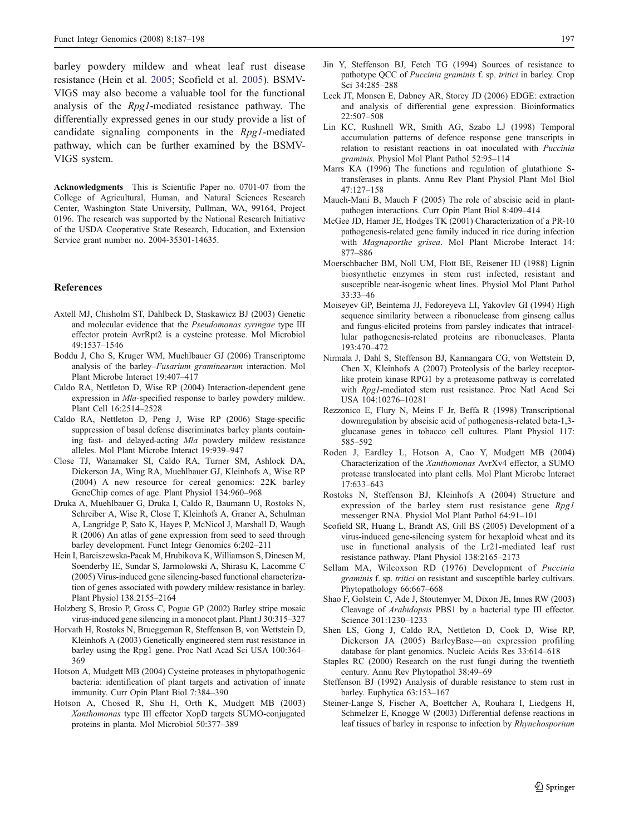<span id="page-10-0"></span>barley powdery mildew and wheat leaf rust disease resistance (Hein et al. 2005; Scofield et al. 2005). BSMV-VIGS may also become a valuable tool for the functional analysis of the Rpg1-mediated resistance pathway. The differentially expressed genes in our study provide a list of candidate signaling components in the Rpg1-mediated pathway, which can be further examined by the BSMV-VIGS system.

Acknowledgments This is Scientific Paper no. 0701-07 from the College of Agricultural, Human, and Natural Sciences Research Center, Washington State University, Pullman, WA, 99164, Project 0196. The research was supported by the National Research Initiative of the USDA Cooperative State Research, Education, and Extension Service grant number no. 2004-35301-14635.

## **References**

- Axtell MJ, Chisholm ST, Dahlbeck D, Staskawicz BJ (2003) Genetic and molecular evidence that the Pseudomonas syringae type III effector protein AvrRpt2 is a cysteine protease. Mol Microbiol 49:1537–1546
- Boddu J, Cho S, Kruger WM, Muehlbauer GJ (2006) Transcriptome analysis of the barley–Fusarium graminearum interaction. Mol Plant Microbe Interact 19:407–417
- Caldo RA, Nettleton D, Wise RP (2004) Interaction-dependent gene expression in Mla-specified response to barley powdery mildew. Plant Cell 16:2514–2528
- Caldo RA, Nettleton D, Peng J, Wise RP (2006) Stage-specific suppression of basal defense discriminates barley plants containing fast- and delayed-acting Mla powdery mildew resistance alleles. Mol Plant Microbe Interact 19:939–947
- Close TJ, Wanamaker SI, Caldo RA, Turner SM, Ashlock DA, Dickerson JA, Wing RA, Muehlbauer GJ, Kleinhofs A, Wise RP (2004) A new resource for cereal genomics: 22K barley GeneChip comes of age. Plant Physiol 134:960–968
- Druka A, Muehlbauer G, Druka I, Caldo R, Baumann U, Rostoks N, Schreiber A, Wise R, Close T, Kleinhofs A, Graner A, Schulman A, Langridge P, Sato K, Hayes P, McNicol J, Marshall D, Waugh R (2006) An atlas of gene expression from seed to seed through barley development. Funct Integr Genomics 6:202–211
- Hein I, Barciszewska-Pacak M, Hrubikova K, Williamson S, Dinesen M, Soenderby IE, Sundar S, Jarmolowski A, Shirasu K, Lacomme C (2005) Virus-induced gene silencing-based functional characterization of genes associated with powdery mildew resistance in barley. Plant Physiol 138:2155–2164
- Holzberg S, Brosio P, Gross C, Pogue GP (2002) Barley stripe mosaic virus-induced gene silencing in a monocot plant. Plant J 30:315–327
- Horvath H, Rostoks N, Brueggeman R, Steffenson B, von Wettstein D, Kleinhofs A (2003) Genetically engineered stem rust resistance in barley using the Rpg1 gene. Proc Natl Acad Sci USA 100:364– 369
- Hotson A, Mudgett MB (2004) Cysteine proteases in phytopathogenic bacteria: identification of plant targets and activation of innate immunity. Curr Opin Plant Biol 7:384–390
- Hotson A, Chosed R, Shu H, Orth K, Mudgett MB (2003) Xanthomonas type III effector XopD targets SUMO-conjugated proteins in planta. Mol Microbiol 50:377–389
- Jin Y, Steffenson BJ, Fetch TG (1994) Sources of resistance to pathotype QCC of Puccinia graminis f. sp. tritici in barley. Crop Sci 34:285–288
- Leek JT, Monsen E, Dabney AR, Storey JD (2006) EDGE: extraction and analysis of differential gene expression. Bioinformatics 22:507–508
- Lin KC, Rushnell WR, Smith AG, Szabo LJ (1998) Temporal accumulation patterns of defence response gene transcripts in relation to resistant reactions in oat inoculated with Puccinia graminis. Physiol Mol Plant Pathol 52:95–114
- Marrs KA (1996) The functions and regulation of glutathione Stransferases in plants. Annu Rev Plant Physiol Plant Mol Biol 47:127–158
- Mauch-Mani B, Mauch F (2005) The role of abscisic acid in plantpathogen interactions. Curr Opin Plant Biol 8:409–414
- McGee JD, Hamer JE, Hodges TK (2001) Characterization of a PR-10 pathogenesis-related gene family induced in rice during infection with Magnaporthe grisea. Mol Plant Microbe Interact 14: 877–886
- Moerschbacher BM, Noll UM, Flott BE, Reisener HJ (1988) Lignin biosynthetic enzymes in stem rust infected, resistant and susceptible near-isogenic wheat lines. Physiol Mol Plant Pathol 33:33–46
- Moiseyev GP, Beintema JJ, Fedoreyeva LI, Yakovlev GI (1994) High sequence similarity between a ribonuclease from ginseng callus and fungus-elicited proteins from parsley indicates that intracellular pathogenesis-related proteins are ribonucleases. Planta 193:470–472
- Nirmala J, Dahl S, Steffenson BJ, Kannangara CG, von Wettstein D, Chen X, Kleinhofs A (2007) Proteolysis of the barley receptorlike protein kinase RPG1 by a proteasome pathway is correlated with Rpg1-mediated stem rust resistance. Proc Natl Acad Sci USA 104:10276–10281
- Rezzonico E, Flury N, Meins F Jr, Beffa R (1998) Transcriptional downregulation by abscisic acid of pathogenesis-related beta-1,3 glucanase genes in tobacco cell cultures. Plant Physiol 117: 585–592
- Roden J, Eardley L, Hotson A, Cao Y, Mudgett MB (2004) Characterization of the Xanthomonas AvrXv4 effector, a SUMO protease translocated into plant cells. Mol Plant Microbe Interact 17:633–643
- Rostoks N, Steffenson BJ, Kleinhofs A (2004) Structure and expression of the barley stem rust resistance gene Rpg1 messenger RNA. Physiol Mol Plant Pathol 64:91–101
- Scofield SR, Huang L, Brandt AS, Gill BS (2005) Development of a virus-induced gene-silencing system for hexaploid wheat and its use in functional analysis of the Lr21-mediated leaf rust resistance pathway. Plant Physiol 138:2165–2173
- Sellam MA, Wilcoxson RD (1976) Development of Puccinia graminis f. sp. tritici on resistant and susceptible barley cultivars. Phytopathology 66:667–668
- Shao F, Golstein C, Ade J, Stoutemyer M, Dixon JE, Innes RW (2003) Cleavage of Arabidopsis PBS1 by a bacterial type III effector. Science 301:1230–1233
- Shen LS, Gong J, Caldo RA, Nettleton D, Cook D, Wise RP, Dickerson JA (2005) BarleyBase—an expression profiling database for plant genomics. Nucleic Acids Res 33:614–618
- Staples RC (2000) Research on the rust fungi during the twentieth century. Annu Rev Phytopathol 38:49–69
- Steffenson BJ (1992) Analysis of durable resistance to stem rust in barley. Euphytica 63:153–167
- Steiner-Lange S, Fischer A, Boettcher A, Rouhara I, Liedgens H, Schmelzer E, Knogge W (2003) Differential defense reactions in leaf tissues of barley in response to infection by Rhynchosporium